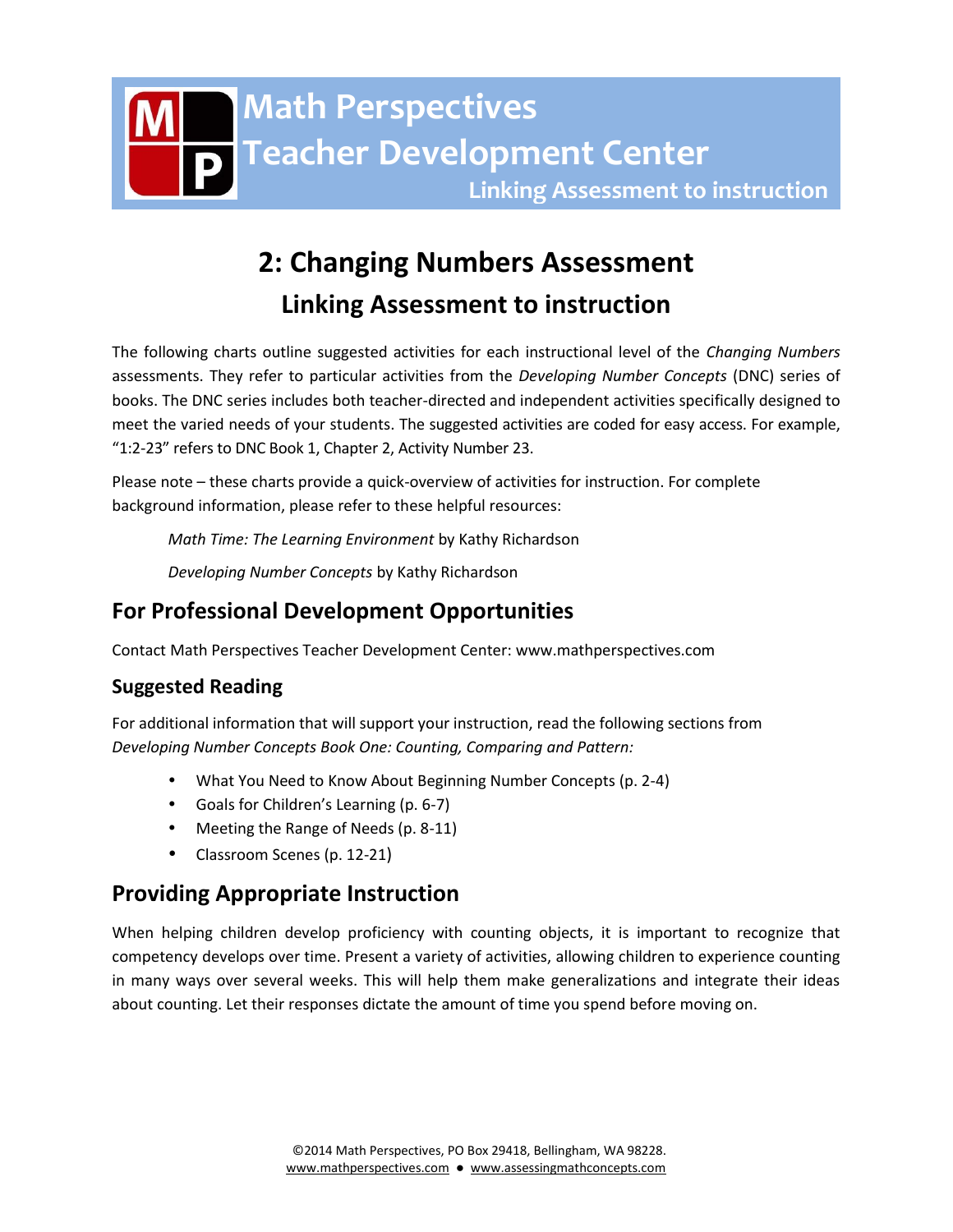

# **2: Changing Numbers Assessment Linking Assessment to instruction**

The following charts outline suggested activities for each instructional level of the *Changing Numbers* assessments. They refer to particular activities from the *Developing Number Concepts* (DNC) series of books. The DNC series includes both teacher-directed and independent activities specifically designed to meet the varied needs of your students. The suggested activities are coded for easy access. For example, "1:2-23" refers to DNC Book 1, Chapter 2, Activity Number 23.

Please note – these charts provide a quick-overview of activities for instruction. For complete background information, please refer to these helpful resources:

*Math Time: The Learning Environment* by Kathy Richardson

*Developing Number Concepts* by Kathy Richardson

# **For Professional Development Opportunities**

Contact Math Perspectives Teacher Development Center: www.mathperspectives.com

## **Suggested Reading**

For additional information that will support your instruction, read the following sections from *Developing Number Concepts Book One: Counting, Comparing and Pattern:*

- What You Need to Know About Beginning Number Concepts (p. 2-4)
- Goals for Children's Learning (p. 6-7)
- Meeting the Range of Needs (p. 8-11)
- Classroom Scenes (p. 12-21)

# **Providing Appropriate Instruction**

When helping children develop proficiency with counting objects, it is important to recognize that competency develops over time. Present a variety of activities, allowing children to experience counting in many ways over several weeks. This will help them make generalizations and integrate their ideas about counting. Let their responses dictate the amount of time you spend before moving on.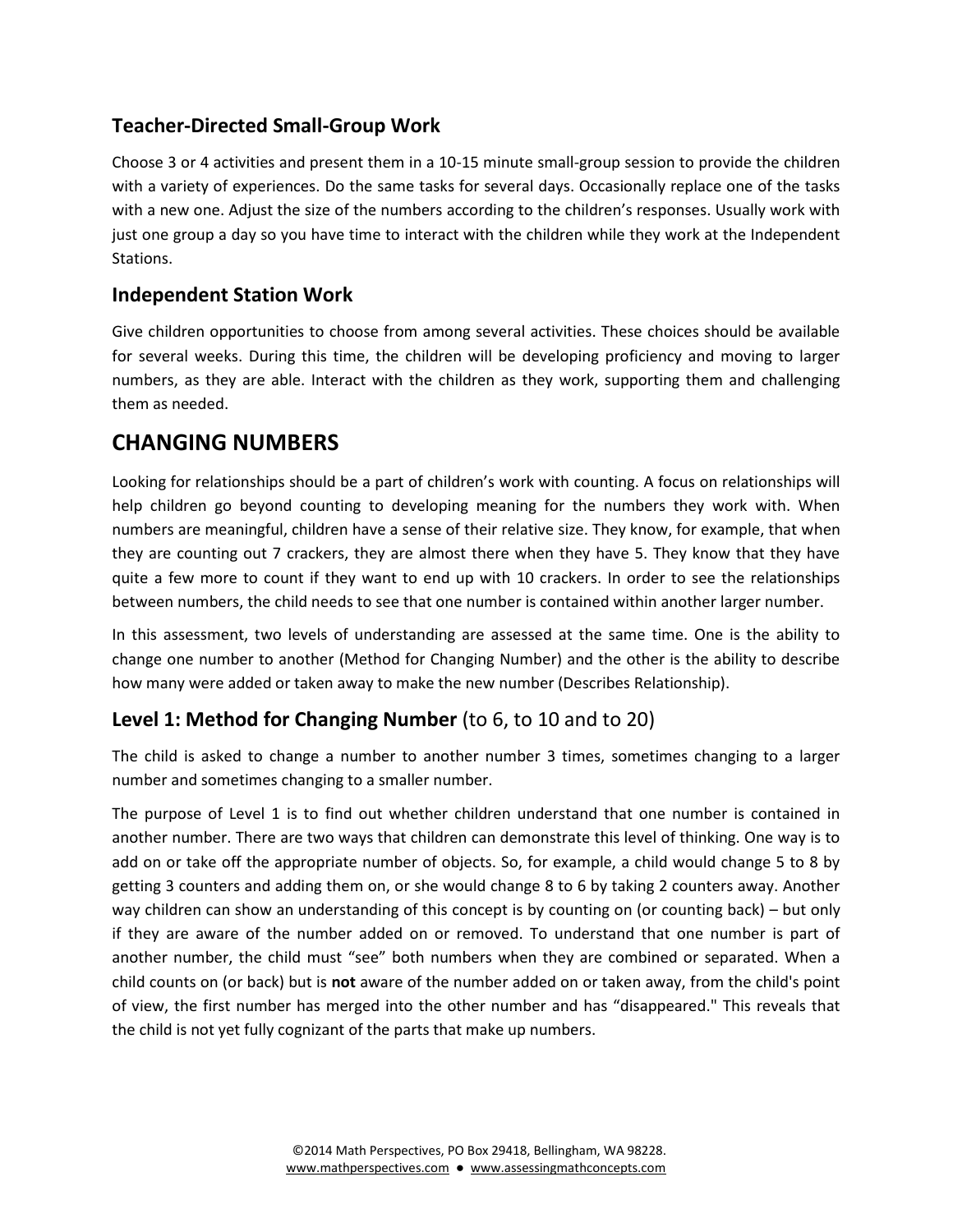# **Teacher-Directed Small-Group Work**

Choose 3 or 4 activities and present them in a 10-15 minute small-group session to provide the children with a variety of experiences. Do the same tasks for several days. Occasionally replace one of the tasks with a new one. Adjust the size of the numbers according to the children's responses. Usually work with just one group a day so you have time to interact with the children while they work at the Independent Stations.

## **Independent Station Work**

Give children opportunities to choose from among several activities. These choices should be available for several weeks. During this time, the children will be developing proficiency and moving to larger numbers, as they are able. Interact with the children as they work, supporting them and challenging them as needed.

# **CHANGING NUMBERS**

Looking for relationships should be a part of children's work with counting. A focus on relationships will help children go beyond counting to developing meaning for the numbers they work with. When numbers are meaningful, children have a sense of their relative size. They know, for example, that when they are counting out 7 crackers, they are almost there when they have 5. They know that they have quite a few more to count if they want to end up with 10 crackers. In order to see the relationships between numbers, the child needs to see that one number is contained within another larger number.

In this assessment, two levels of understanding are assessed at the same time. One is the ability to change one number to another (Method for Changing Number) and the other is the ability to describe how many were added or taken away to make the new number (Describes Relationship).

## **Level 1: Method for Changing Number** (to 6, to 10 and to 20)

The child is asked to change a number to another number 3 times, sometimes changing to a larger number and sometimes changing to a smaller number.

The purpose of Level 1 is to find out whether children understand that one number is contained in another number. There are two ways that children can demonstrate this level of thinking. One way is to add on or take off the appropriate number of objects. So, for example, a child would change 5 to 8 by getting 3 counters and adding them on, or she would change 8 to 6 by taking 2 counters away. Another way children can show an understanding of this concept is by counting on (or counting back) – but only if they are aware of the number added on or removed. To understand that one number is part of another number, the child must "see" both numbers when they are combined or separated. When a child counts on (or back) but is **not** aware of the number added on or taken away, from the child's point of view, the first number has merged into the other number and has "disappeared." This reveals that the child is not yet fully cognizant of the parts that make up numbers.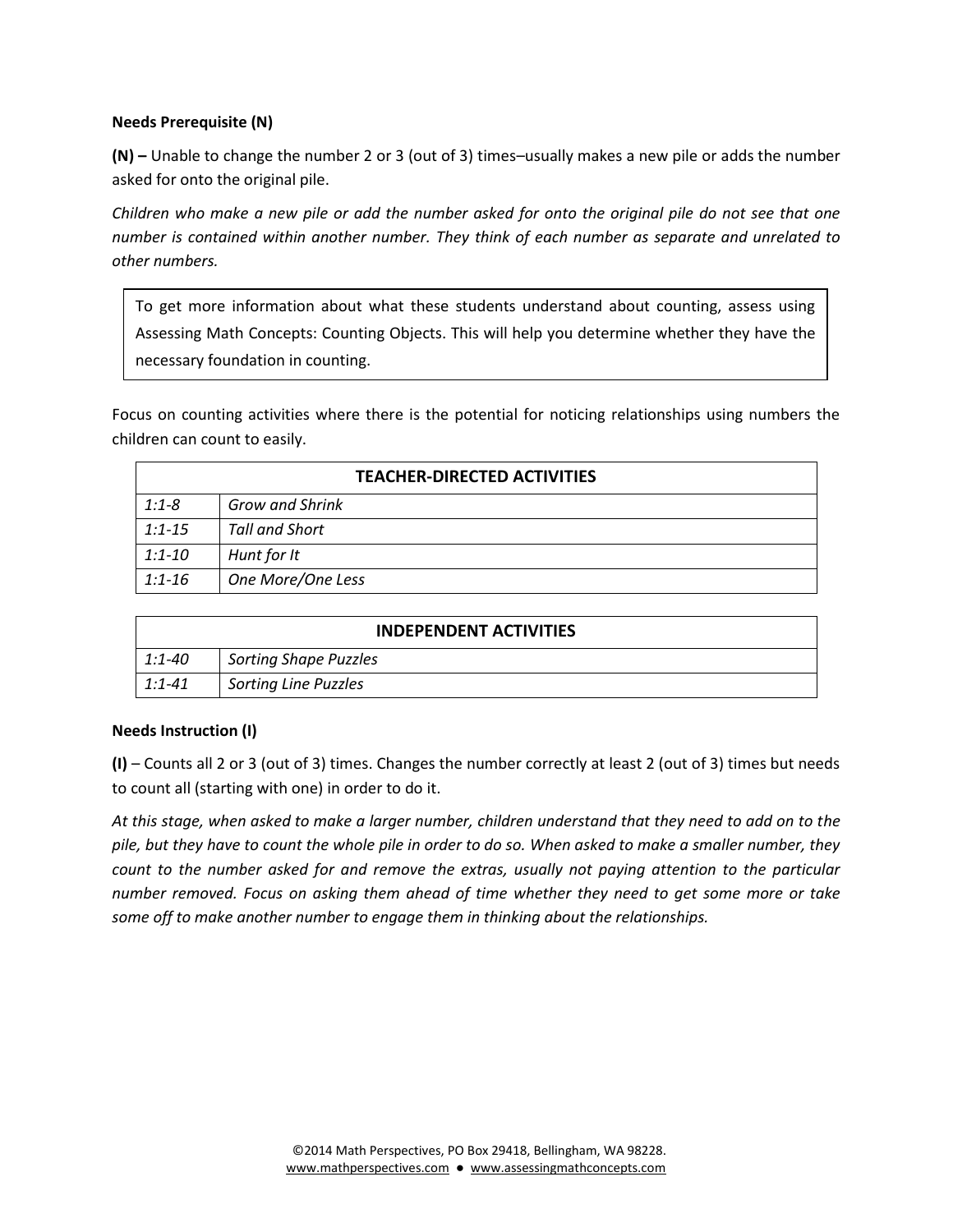#### **Needs Prerequisite (N)**

**(N) –** Unable to change the number 2 or 3 (out of 3) times–usually makes a new pile or adds the number asked for onto the original pile.

*Children who make a new pile or add the number asked for onto the original pile do not see that one number is contained within another number. They think of each number as separate and unrelated to other numbers.* 

To get more information about what these students understand about counting, assess using Assessing Math Concepts: Counting Objects. This will help you determine whether they have the necessary foundation in counting.

Focus on counting activities where there is the potential for noticing relationships using numbers the children can count to easily.

| <b>TEACHER-DIRECTED ACTIVITIES</b> |                        |
|------------------------------------|------------------------|
| $1:1 - 8$                          | <b>Grow and Shrink</b> |
| $1:1 - 15$                         | Tall and Short         |
| $1:1 - 10$                         | Hunt for It            |
| $1:1 - 16$                         | One More/One Less      |

| <b>INDEPENDENT ACTIVITIES</b> |                              |
|-------------------------------|------------------------------|
| 1:1-40                        | <b>Sorting Shape Puzzles</b> |
| $1:1 - 41$                    | <b>Sorting Line Puzzles</b>  |

#### **Needs Instruction (I)**

**(I)** – Counts all 2 or 3 (out of 3) times. Changes the number correctly at least 2 (out of 3) times but needs to count all (starting with one) in order to do it.

*At this stage, when asked to make a larger number, children understand that they need to add on to the pile, but they have to count the whole pile in order to do so. When asked to make a smaller number, they count to the number asked for and remove the extras, usually not paying attention to the particular number removed. Focus on asking them ahead of time whether they need to get some more or take some off to make another number to engage them in thinking about the relationships.*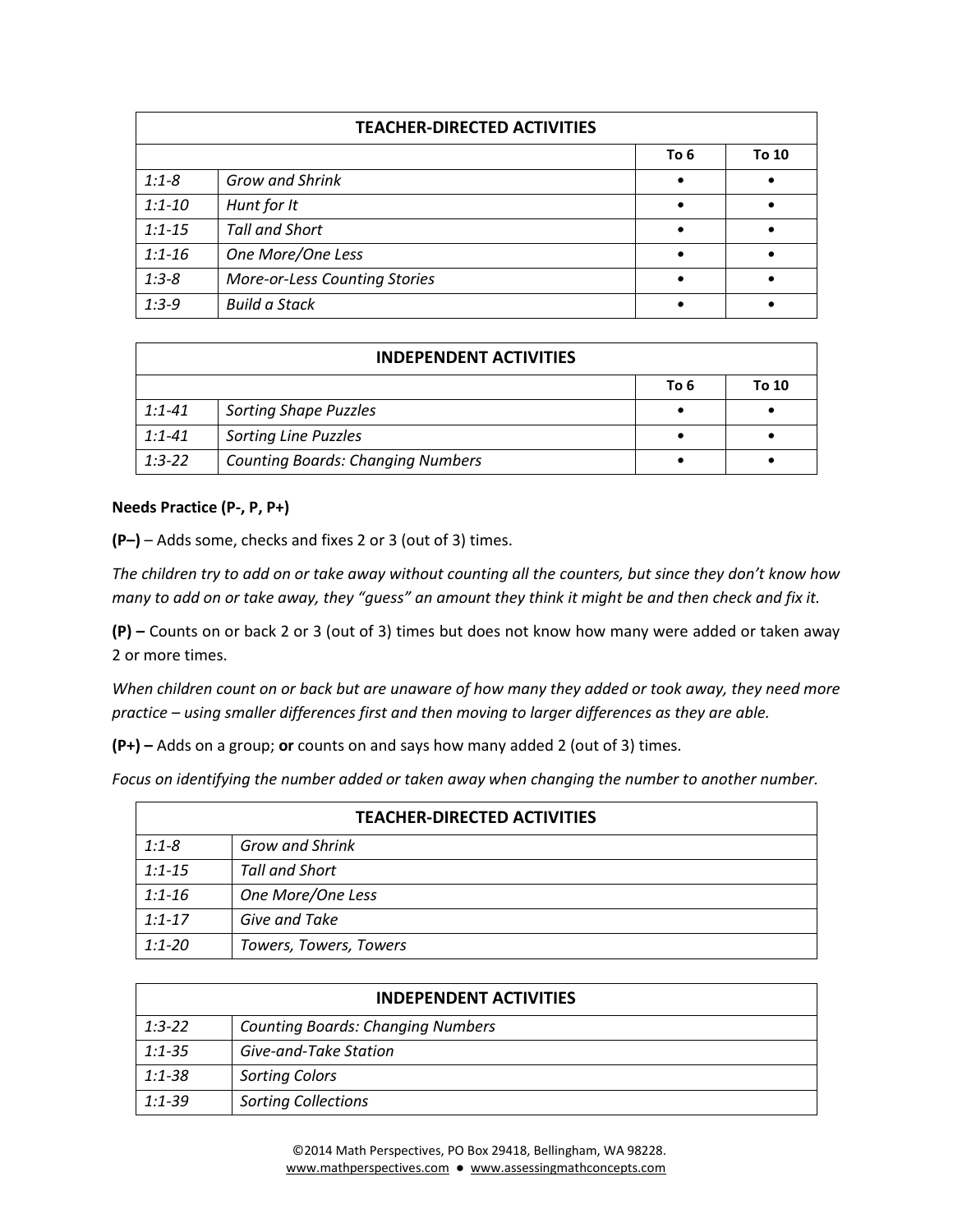| <b>TEACHER-DIRECTED ACTIVITIES</b> |                                      |           |       |
|------------------------------------|--------------------------------------|-----------|-------|
|                                    |                                      | To 6      | To 10 |
| $1:1 - 8$                          | <b>Grow and Shrink</b>               | $\bullet$ |       |
| $1:1 - 10$                         | Hunt for It                          |           |       |
| $1:1 - 15$                         | <b>Tall and Short</b>                |           |       |
| $1:1 - 16$                         | One More/One Less                    |           |       |
| $1:3-8$                            | <b>More-or-Less Counting Stories</b> |           |       |
| $1:3-9$                            | <b>Build a Stack</b>                 |           |       |

| <b>INDEPENDENT ACTIVITIES</b> |                                          |      |       |
|-------------------------------|------------------------------------------|------|-------|
|                               |                                          | To 6 | To 10 |
| $1:1 - 41$                    | <b>Sorting Shape Puzzles</b>             |      |       |
| $1:1 - 41$                    | <b>Sorting Line Puzzles</b>              |      |       |
| $1:3-22$                      | <b>Counting Boards: Changing Numbers</b> |      |       |

#### **Needs Practice (P-, P, P+)**

**(P–)** – Adds some, checks and fixes 2 or 3 (out of 3) times.

*The children try to add on or take away without counting all the counters, but since they don't know how many to add on or take away, they "guess" an amount they think it might be and then check and fix it.*

**(P) –** Counts on or back 2 or 3 (out of 3) times but does not know how many were added or taken away 2 or more times.

*When children count on or back but are unaware of how many they added or took away, they need more practice – using smaller differences first and then moving to larger differences as they are able.*

**(P+) –** Adds on a group; **or** counts on and says how many added 2 (out of 3) times.

*Focus on identifying the number added or taken away when changing the number to another number.*

| <b>TEACHER-DIRECTED ACTIVITIES</b> |                        |
|------------------------------------|------------------------|
| $1:1 - 8$                          | <b>Grow and Shrink</b> |
| $1:1 - 15$                         | Tall and Short         |
| $1:1 - 16$                         | One More/One Less      |
| $1:1 - 17$                         | Give and Take          |
| $1:1 - 20$                         | Towers, Towers, Towers |

| <b>INDEPENDENT ACTIVITIES</b> |                                          |
|-------------------------------|------------------------------------------|
| $1:3-22$                      | <b>Counting Boards: Changing Numbers</b> |
| $1:1 - 35$                    | Give-and-Take Station                    |
| 1:1-38                        | <b>Sorting Colors</b>                    |
| $1:1-39$                      | <b>Sorting Collections</b>               |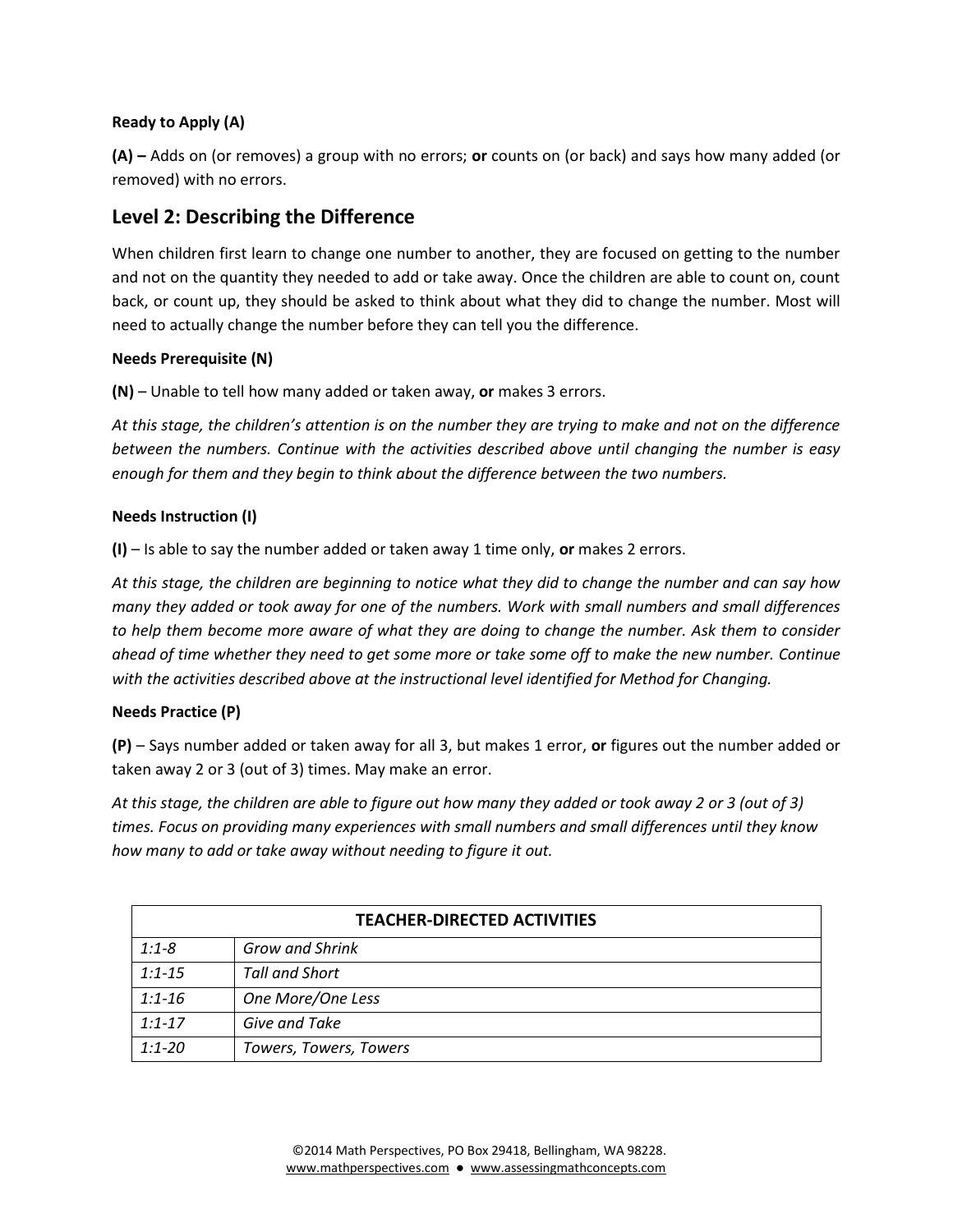#### **Ready to Apply (A)**

**(A) –** Adds on (or removes) a group with no errors; **or** counts on (or back) and says how many added (or removed) with no errors.

### **Level 2: Describing the Difference**

When children first learn to change one number to another, they are focused on getting to the number and not on the quantity they needed to add or take away. Once the children are able to count on, count back, or count up, they should be asked to think about what they did to change the number. Most will need to actually change the number before they can tell you the difference.

#### **Needs Prerequisite (N)**

**(N)** – Unable to tell how many added or taken away, **or** makes 3 errors.

*At this stage, the children's attention is on the number they are trying to make and not on the difference between the numbers. Continue with the activities described above until changing the number is easy enough for them and they begin to think about the difference between the two numbers.* 

#### **Needs Instruction (I)**

**(I)** – Is able to say the number added or taken away 1 time only, **or** makes 2 errors.

*At this stage, the children are beginning to notice what they did to change the number and can say how many they added or took away for one of the numbers. Work with small numbers and small differences to help them become more aware of what they are doing to change the number. Ask them to consider ahead of time whether they need to get some more or take some off to make the new number. Continue with the activities described above at the instructional level identified for Method for Changing.*

#### **Needs Practice (P)**

**(P)** – Says number added or taken away for all 3, but makes 1 error, **or** figures out the number added or taken away 2 or 3 (out of 3) times. May make an error.

*At this stage, the children are able to figure out how many they added or took away 2 or 3 (out of 3) times. Focus on providing many experiences with small numbers and small differences until they know how many to add or take away without needing to figure it out.*

| <b>TEACHER-DIRECTED ACTIVITIES</b> |                        |
|------------------------------------|------------------------|
| $1:1 - 8$                          | <b>Grow and Shrink</b> |
| $1:1 - 15$                         | Tall and Short         |
| $1:1 - 16$                         | One More/One Less      |
| $1:1 - 17$                         | Give and Take          |
| $1:1 - 20$                         | Towers, Towers, Towers |